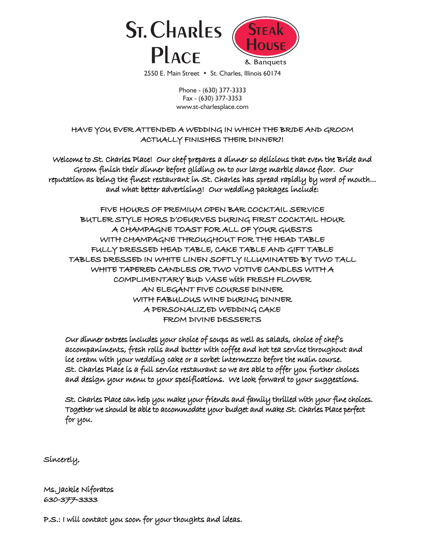

2550 E. Main Street • St. Charles, Illinois 60174

Phone - (630) 377-3333 Fax - (630) 377-3353 www.st-charlesplace.com

HAVE YOU EVER ATTENDED A WEDDING IN WHICH THE BRIDE AND GROOM ACTUALLY FINISHES THEIR DINNER?!

Welcome to St. Charles Place! Our chef prepares a dinner so delicious that even the Bride and Groom finish their dinner before gliding on to our large marble dance floor. Our reputation as being the finest restaurant in St. Charles has spread rapidly by word of mouth... and what better advertising! Our wedding packages include:

FIVE HOURS OF PREMIUM OPEN BAR COCKTAIL SERVICE BUTLER STYLE HORS D'OEURVES DURING FIRST COCKTAIL HOUR A CHAMPAGNE TOAST FOR ALL OF YOUR GUESTS WITH CHAMPAGNE THROUGHOUT FOR THE HEAD TABLE FULLY DRESSED HEAD TABLE, CAKE TABLE AND GIFT TABLE TABLES DRESSED IN WHITE LINEN SOFTLY ILLUMINATED BY TWO TALL WHITE TAPERED CANDLES OR TWO VOTIVE CANDLES WITH A COMPLIMENTARY BUD VASE with FRESH FLOWER AN ELEGANT FIVE COURSE DINNER WITH FABULOUS WINE DURING DINNER A PERSONALIZED WEDDING CAKE FROM DIVINE DESSERTS

Our dinner entrees includes your choice of soups as well as salads, choice of chef's accompaniments, fresh rolls and butter with coffee and hot tea service throughout and ice cream with your wedding cake or a sorbet intermezzo before the main course. St. Charles Place is a full service restaurant so we are able to offer you further choices and design your menu to your specifications. We look forward to your suggestions.

St. Charles Place can help you make your friends and family thrilled with your fine choices. Together we should be able to accommodate your budget and make St. Charles Place perfect for you.

Sincerely,

Ms. Jackie Niforatos 630-377-3333

P.S.: I will contact you soon for your thoughts and ideas.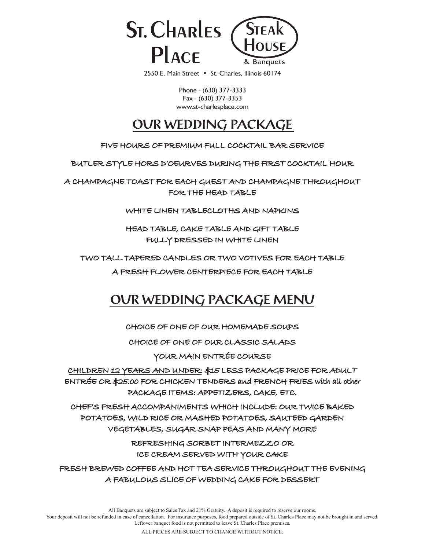

2550 E. Main Street • St. Charles, Illinois 60174

Phone - (630) 377-3333 Fax - (630) 377-3353 www.st-charlesplace.com

# **OUR WEDDING PACKAGE**

FIVE HOURS OF PREMIUM FULL COCKTAIL BAR SERVICE

BUTLER STYLE HORS D'OEURVES DURING THE FIRST COCKTAIL HOUR

A CHAMPAGNE TOAST FOR EACH GUEST AND CHAMPAGNE THROUGHOUT FOR THE HEAD TABLE

WHITE LINEN TABLECLOTHS AND NAPKINS

HEAD TABLE, CAKE TABLE AND GIFT TABLE FULLY DRESSED IN WHITE LINEN

TWO TALL TAPERED CANDLES OR TWO VOTIVES FOR EACH TABLE

A FRESH FLOWER CENTERPIECE FOR EACH TABLE

# **OUR WEDDING PACKAGE MENU**

CHOICE OF ONE OF OUR HOMEMADE SOUPS

CHOICE OF ONE OF OUR CLASSIC SALADS

YOUR MAIN ENTRÉE COURSE

CHILDREN 12 YEARS AND UNDER: \$15 LESS PACKAGE PRICE FOR ADULT ENTRÉE OR \$25.00 FOR CHICKEN TENDERS and FRENCH FRIES with all other PACKAGE ITEMS: APPETIZERS, CAKE, ETC.

CHEF'S FRESH ACCOMPANIMENTS WHICH INCLUDE: OUR TWICE BAKED POTATOES, WILD RICE OR MASHED POTATOES, SAUTEED GARDEN VEGETABLES, SUGAR SNAP PEAS AND MANY MORE

> REFRESHING SORBET INTERMEZZO OR ICE CREAM SERVED WITH YOUR CAKE

FRESH BREWED COFFEE AND HOT TEA SERVICE THROUGHOUT THE EVENING A FABULOUS SLICE OF WEDDING CAKE FOR DESSERT

All Banquets are subject to Sales Tax and 21% Gratuity. A deposit is required to reserve our rooms.

Your deposit will not be refunded in case of cancellation. For insurance purposes, food prepared outside of St. Charles Place may not be brought in and served. Leftover banquet food is not permitted to leave St. Charles Place premises.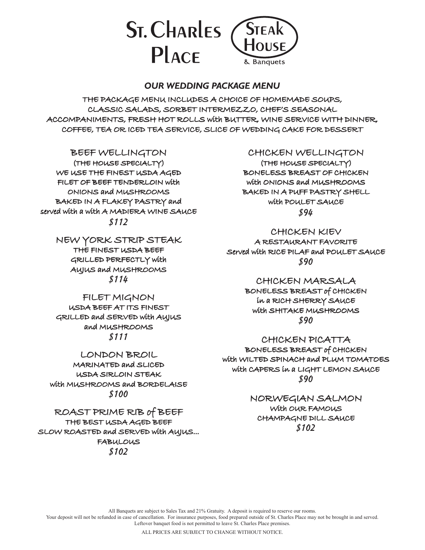

#### *OUR WEDDING PACKAGE MENU*

THE PACKAGE MENU INCLUDES A CHOICE OF HOMEMADE SOUPS, CLASSIC SALADS, SORBET INTERMEZZO, CHEF'S SEASONAL ACCOMPANIMENTS, FRESH HOT ROLLS with BUTTER, WINE SERVICE WITH DINNER, COFFEE, TEA OR ICED TEA SERVICE, SLICE OF WEDDING CAKE FOR DESSERT

#### BEEF WELLINGTON

(THE HOUSE SPECIALTY) WE USE THE FINEST USDA AGED FILET OF BEEF TENDERLOIN with ONIONS and MUSHROOMS BAKED IN A FLAKEY PASTRY and served with a with A MADIERA WINE SAUCE \$112

> NEW YORK STRIP STEAK THE FINEST USDA BEEF GRILLED PERFECTLY with AUJUS and MUSHROOMS \$114

> FILET MIGNON USDA BEEF AT ITS FINEST GRILLED and SERVED with AUJUS and MUSHROOMS \$111

LONDON BROIL MARINATED and SLICED USDA SIRLOIN STEAK with MUSHROOMS and BORDELAISE \$100

ROAST PRIME RIB of BEEF THE BEST USDA AGED BEEF SLOW ROASTED and SERVED with AUJUS... **FABULOUS** \$102

#### CHICKEN WELLINGTON

(THE HOUSE SPECIALTY) BONELESS BREAST OF CHICKEN with ONIONS and MUSHROOMS BAKED IN A PUFF PASTRY SHELL with POULET SAUCE \$94

CHICKEN KIEV A RESTAURANT FAVORITE Served with RICE PILAF and POULET SAUCE \$90

#### CHICKEN MARSALA

BONELESS BREAST of CHICKEN in a RICH SHERRY SAUCE with SHITAKE MUSHROOMS \$90

CHICKEN PICATTA BONELESS BREAST of CHICKEN

with WILTED SPINACH and PLUM TOMATOES with CAPERS in a LIGHT LEMON SAUCE \$90

> NORWEGIAN SALMON With OUR FAMOUS CHAMPAGNE DILL SAUCE \$102

All Banquets are subject to Sales Tax and 21% Gratuity. A deposit is required to reserve our rooms.

Your deposit will not be refunded in case of cancellation. For insurance purposes, food prepared outside of St. Charles Place may not be brought in and served. Leftover banquet food is not permitted to leave St. Charles Place premises.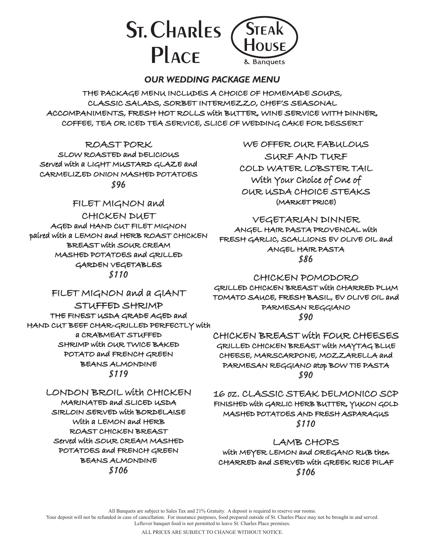

#### *OUR WEDDING PACKAGE MENU*

THE PACKAGE MENU INCLUDES A CHOICE OF HOMEMADE SOUPS, CLASSIC SALADS, SORBET INTERMEZZO, CHEF'S SEASONAL ACCOMPANIMENTS, FRESH HOT ROLLS with BUTTER, WINE SERVICE WITH DINNER, COFFEE, TEA OR ICED TEA SERVICE, SLICE OF WEDDING CAKE FOR DESSERT

ROAST PORK

SLOW ROASTED and DELICIOUS Served with a LIGHT MUSTARD GLAZE and CARMELIZED ONION MASHED POTATOES \$96

## FILET MIGNON and

CHICKEN DUET AGED and HAND CUT FILET MIGNON paired with a LEMON and HERB ROAST CHICKEN BREAST with SOUR CREAM MASHED POTATOES and GRILLED GARDEN VEGETABLES \$110

WE OFFER OUR FABULOUS SURF AND TURF COLD WATER LOBSTER TAIL With Your Choice of One of OUR USDA CHOICE STEAKS (MARKET PRICE)

VEGETARIAN DINNER ANGEL HAIR PASTA PROVENCAL with FRESH GARLIC, SCALLIONS EV OLIVE OIL and ANGEL HAIR PASTA \$86

## CHICKEN POMODORO

# FILET MIGNON and a GIANT

STUFFED SHRIMP THE FINEST USDA GRADE AGED and HAND CUT BEEF CHAR-GRILLED PERFECTLY with a CRABMEAT STUFFED SHRIMP with OUR TWICE BAKED POTATO and FRENCH GREEN BEANS ALMONDINE \$119

### LONDON BROIL with CHICKEN

MARINATED and SLICED USDA SIRLOIN SERVED with BORDELAISE With a LEMON and HERB ROAST CHICKEN BREAST Served with SOUR CREAM MASHED POTATOES and FRENCH GREEN BEANS ALMONDINE \$106

GRILLED CHICKEN BREAST with CHARRED PLUM TOMATO SAUCE, FRESH BASIL, EV OLIVE OIL and PARMESAN REGGIANO \$90

CHICKEN BREAST with FOUR CHEESES GRILLED CHICKEN BREAST with MAYTAG BLUE CHEESE, MARSCARPONE, MOZZARELLA and PARMESAN REGGIANO atop BOW TIE PASTA \$90

16 oz. CLASSIC STEAK DELMONICO SCP FINISHED with GARLIC HERB BUTTER, YUKON GOLD MASHED POTATOES AND FRESH ASPARAGUS \$110

## LAMB CHOPS

with MEYER LEMON and OREGANO RUB then CHARRED and SERVED with GREEK RICE PILAF \$106

All Banquets are subject to Sales Tax and 21% Gratuity. A deposit is required to reserve our rooms.

Your deposit will not be refunded in case of cancellation. For insurance purposes, food prepared outside of St. Charles Place may not be brought in and served. Leftover banquet food is not permitted to leave St. Charles Place premises.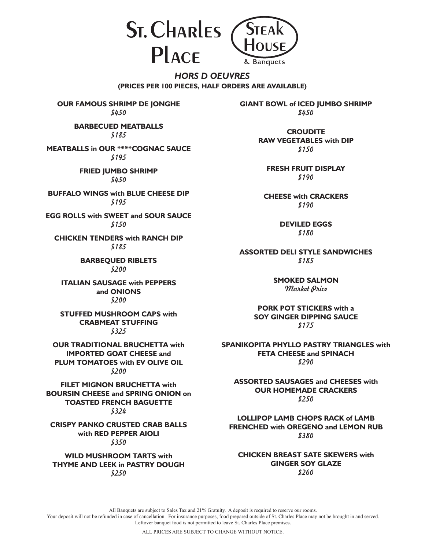**ST. CHARLES PLACE** 



*HORS D OEUVRES* **(PRICES PER 100 PIECES, HALF ORDERS ARE AVAILABLE)**

**OUR FAMOUS SHRIMP DE JONGHE** \$450

> **BARBECUED MEATBALLS** \$185

**MEATBALLS in OUR \*\*\*\*COGNAC SAUCE** \$195

> **FRIED JUMBO SHRIMP** \$450

**BUFFALO WINGS with BLUE CHEESE DIP** \$195

**EGG ROLLS with SWEET and SOUR SAUCE** \$150

**CHICKEN TENDERS with RANCH DIP** \$185

> **BARBEQUED RIBLETS** \$200

**ITALIAN SAUSAGE with PEPPERS and ONIONS** \$200

**STUFFED MUSHROOM CAPS with CRABMEAT STUFFING** \$325

**OUR TRADITIONAL BRUCHETTA with IMPORTED GOAT CHEESE and PLUM TOMATOES with EV OLIVE OIL** \$200

**FILET MIGNON BRUCHETTA with BOURSIN CHEESE and SPRING ONION on TOASTED FRENCH BAGUETTE** \$324

**CRISPY PANKO CRUSTED CRAB BALLS with RED PEPPER AIOLI** \$350

**WILD MUSHROOM TARTS with THYME AND LEEK in PASTRY DOUGH** \$250

**GIANT BOWL of ICED JUMBO SHRIMP** \$450

> **CROUDITE RAW VEGETABLES with DIP** \$150

**FRESH FRUIT DISPLAY** \$190

**CHEESE with CRACKERS** \$190

> **DEVILED EGGS** \$180

**ASSORTED DELI STYLE SANDWICHES** \$185

> **SMOKED SALMON** Market Price

**PORK POT STICKERS with a SOY GINGER DIPPING SAUCE** \$175

**SPANIKOPITA PHYLLO PASTRY TRIANGLES with FETA CHEESE and SPINACH** \$290

**ASSORTED SAUSAGES and CHEESES with OUR HOMEMADE CRACKERS** \$250

**LOLLIPOP LAMB CHOPS RACK of LAMB FRENCHED with OREGENO and LEMON RUB** \$380

**CHICKEN BREAST SATE SKEWERS with GINGER SOY GLAZE** \$260

All Banquets are subject to Sales Tax and 21% Gratuity. A deposit is required to reserve our rooms.

Your deposit will not be refunded in case of cancellation. For insurance purposes, food prepared outside of St. Charles Place may not be brought in and served. Leftover banquet food is not permitted to leave St. Charles Place premises.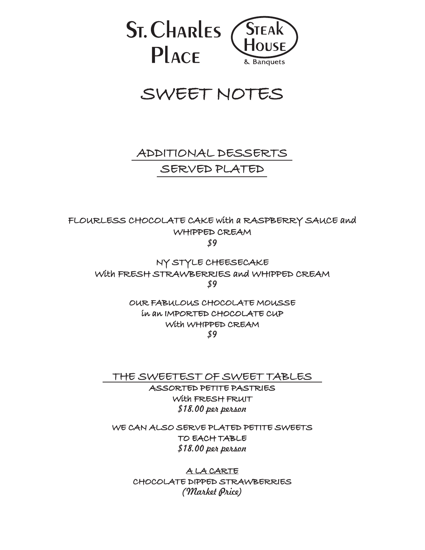

# SWEET NOTES

# ADDITIONAL DESSERTS SERVED PLATED

FLOURLESS CHOCOLATE CAKE with a RASPBERRY SAUCE and WHIPPED CREAM \$9

NY STYLE CHEESECAKE With FRESH STRAWBERRIES and WHIPPED CREAM \$9

> OUR FABULOUS CHOCOLATE MOUSSE in an IMPORTED CHOCOLATE CUP With WHIPPED CREAM \$9

THE SWEETEST OF SWEET TABLES

ASSORTED PETITE PASTRIES With FRESH FRUIT \$18.00 per person

WE CAN ALSO SERVE PLATED PETITE SWEETS TO EACH TABLE \$18.00 per person

> A LA CARTE CHOCOLATE DIPPED STRAWBERRIES (Market Price)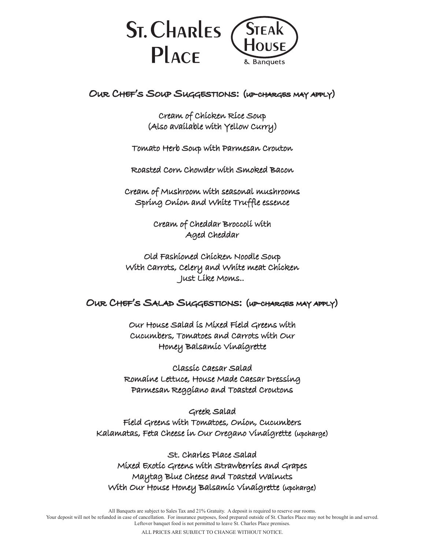

OUR CHEF'S SOUP SUGGESTIONS: (UP-CHARGES MAY APPLY)

Cream of Chicken Rice Soup (Also available with Yellow Curry)

Tomato Herb Soup with Parmesan Crouton

Roasted Corn Chowder with Smoked Bacon

Cream of Mushroom with seasonal mushrooms Spring Onion and White Truffle essence

> Cream of Cheddar Broccoli with Aged Cheddar

Old Fashioned Chicken Noodle Soup With Carrots, Celery and White meat Chicken Just Like Moms..

OUR CHEF'S SALAD SUGGESTIONS: (UP-CHARGES MAY APPLY)

Our House Salad is Mixed Field Greens with Cucumbers, Tomatoes and Carrots with Our Honey Balsamic Vinaigrette

Classic Caesar Salad Romaine Lettuce, House Made Caesar Dressing Parmesan Reggiano and Toasted Croutons

Greek Salad Field Greens with Tomatoes, Onion, Cucumbers Kalamatas, Feta Cheese in Our Oregano Vinaigrette (upcharge)

St. Charles Place Salad Mixed Exotic Greens with Strawberries and Grapes Maytag Blue Cheese and Toasted Walnuts With Our House Honey Balsamic Vinaigrette (upcharge)